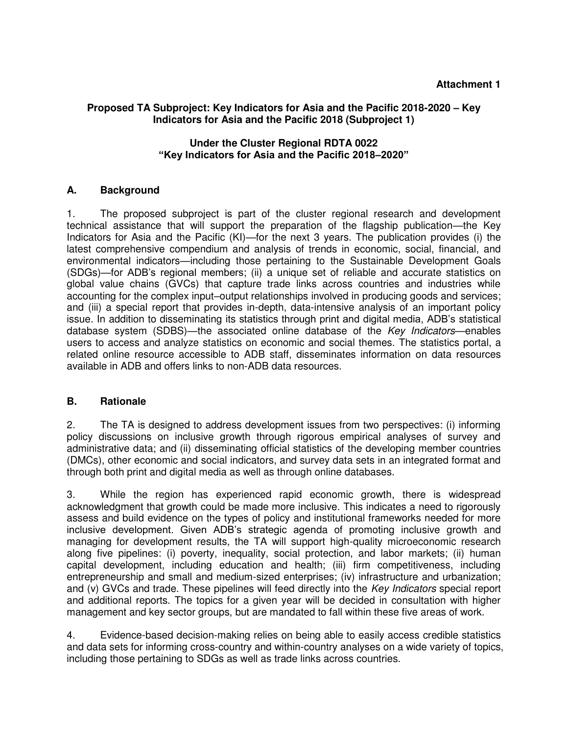## **Proposed TA Subproject: Key Indicators for Asia and the Pacific 2018-2020 – Key Indicators for Asia and the Pacific 2018 (Subproject 1)**

## **Under the Cluster Regional RDTA 0022 "Key Indicators for Asia and the Pacific 2018–2020"**

## **A. Background**

1. The proposed subproject is part of the cluster regional research and development technical assistance that will support the preparation of the flagship publication—the Key Indicators for Asia and the Pacific (KI)—for the next 3 years. The publication provides (i) the latest comprehensive compendium and analysis of trends in economic, social, financial, and environmental indicators—including those pertaining to the Sustainable Development Goals (SDGs)—for ADB's regional members; (ii) a unique set of reliable and accurate statistics on global value chains (GVCs) that capture trade links across countries and industries while accounting for the complex input–output relationships involved in producing goods and services; and (iii) a special report that provides in-depth, data-intensive analysis of an important policy issue. In addition to disseminating its statistics through print and digital media, ADB's statistical database system (SDBS)—the associated online database of the *Key Indicators*—enables users to access and analyze statistics on economic and social themes. The statistics portal, a related online resource accessible to ADB staff, disseminates information on data resources available in ADB and offers links to non-ADB data resources.

## **B. Rationale**

2. The TA is designed to address development issues from two perspectives: (i) informing policy discussions on inclusive growth through rigorous empirical analyses of survey and administrative data; and (ii) disseminating official statistics of the developing member countries (DMCs), other economic and social indicators, and survey data sets in an integrated format and through both print and digital media as well as through online databases.

3. While the region has experienced rapid economic growth, there is widespread acknowledgment that growth could be made more inclusive. This indicates a need to rigorously assess and build evidence on the types of policy and institutional frameworks needed for more inclusive development. Given ADB's strategic agenda of promoting inclusive growth and managing for development results, the TA will support high-quality microeconomic research along five pipelines: (i) poverty, inequality, social protection, and labor markets; (ii) human capital development, including education and health; (iii) firm competitiveness, including entrepreneurship and small and medium-sized enterprises; (iv) infrastructure and urbanization; and (v) GVCs and trade. These pipelines will feed directly into the *Key Indicators* special report and additional reports. The topics for a given year will be decided in consultation with higher management and key sector groups, but are mandated to fall within these five areas of work.

4. Evidence-based decision-making relies on being able to easily access credible statistics and data sets for informing cross-country and within-country analyses on a wide variety of topics, including those pertaining to SDGs as well as trade links across countries.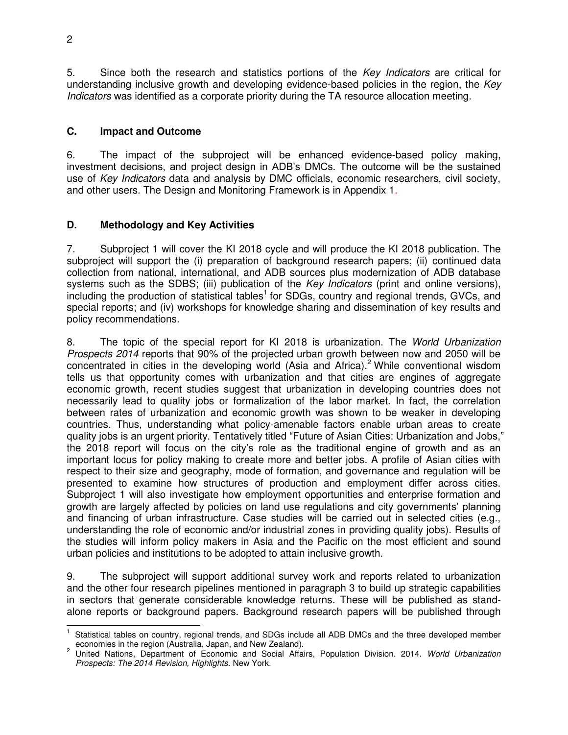5. Since both the research and statistics portions of the *Key Indicators* are critical for understanding inclusive growth and developing evidence-based policies in the region, the *Key Indicators* was identified as a corporate priority during the TA resource allocation meeting.

## **C. Impact and Outcome**

6. The impact of the subproject will be enhanced evidence-based policy making, investment decisions, and project design in ADB's DMCs. The outcome will be the sustained use of *Key Indicators* data and analysis by DMC officials, economic researchers, civil society, and other users. The Design and Monitoring Framework is in Appendix 1.

# **D. Methodology and Key Activities**

7. Subproject 1 will cover the KI 2018 cycle and will produce the KI 2018 publication. The subproject will support the (i) preparation of background research papers; (ii) continued data collection from national, international, and ADB sources plus modernization of ADB database systems such as the SDBS; (iii) publication of the *Key Indicators* (print and online versions), including the production of statistical tables<sup>1</sup> for SDGs, country and regional trends, GVCs, and special reports; and (iv) workshops for knowledge sharing and dissemination of key results and policy recommendations.

8. The topic of the special report for KI 2018 is urbanization. The *World Urbanization Prospects 2014* reports that 90% of the projected urban growth between now and 2050 will be concentrated in cities in the developing world (Asia and Africa).<sup>2</sup> While conventional wisdom tells us that opportunity comes with urbanization and that cities are engines of aggregate economic growth, recent studies suggest that urbanization in developing countries does not necessarily lead to quality jobs or formalization of the labor market. In fact, the correlation between rates of urbanization and economic growth was shown to be weaker in developing countries. Thus, understanding what policy-amenable factors enable urban areas to create quality jobs is an urgent priority. Tentatively titled "Future of Asian Cities: Urbanization and Jobs," the 2018 report will focus on the city's role as the traditional engine of growth and as an important locus for policy making to create more and better jobs. A profile of Asian cities with respect to their size and geography, mode of formation, and governance and regulation will be presented to examine how structures of production and employment differ across cities. Subproject 1 will also investigate how employment opportunities and enterprise formation and growth are largely affected by policies on land use regulations and city governments' planning and financing of urban infrastructure. Case studies will be carried out in selected cities (e.g., understanding the role of economic and/or industrial zones in providing quality jobs). Results of the studies will inform policy makers in Asia and the Pacific on the most efficient and sound urban policies and institutions to be adopted to attain inclusive growth.

9. The subproject will support additional survey work and reports related to urbanization and the other four research pipelines mentioned in paragraph 3 to build up strategic capabilities in sectors that generate considerable knowledge returns. These will be published as standalone reports or background papers. Background research papers will be published through

j 1 Statistical tables on country, regional trends, and SDGs include all ADB DMCs and the three developed member economies in the region (Australia, Japan, and New Zealand).

<sup>2</sup> United Nations, Department of Economic and Social Affairs, Population Division. 2014. *World Urbanization Prospects: The 2014 Revision, Highlights.* New York.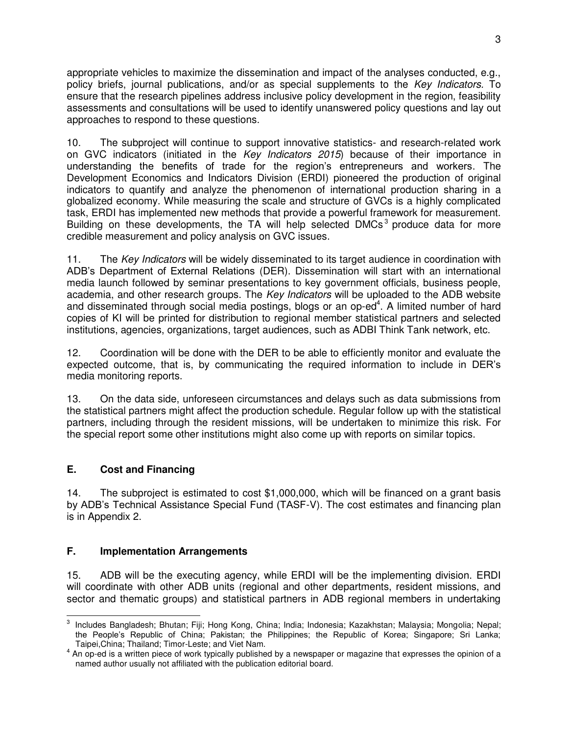appropriate vehicles to maximize the dissemination and impact of the analyses conducted, e.g., policy briefs, journal publications, and/or as special supplements to the *Key Indicators.* To ensure that the research pipelines address inclusive policy development in the region, feasibility assessments and consultations will be used to identify unanswered policy questions and lay out approaches to respond to these questions.

10. The subproject will continue to support innovative statistics- and research-related work on GVC indicators (initiated in the *Key Indicators 2015*) because of their importance in understanding the benefits of trade for the region's entrepreneurs and workers. The Development Economics and Indicators Division (ERDI) pioneered the production of original indicators to quantify and analyze the phenomenon of international production sharing in a globalized economy. While measuring the scale and structure of GVCs is a highly complicated task, ERDI has implemented new methods that provide a powerful framework for measurement. Building on these developments, the TA will help selected DMCs<sup>3</sup> produce data for more credible measurement and policy analysis on GVC issues.

11. The *Key Indicators* will be widely disseminated to its target audience in coordination with ADB's Department of External Relations (DER). Dissemination will start with an international media launch followed by seminar presentations to key government officials, business people, academia, and other research groups. The *Key Indicators* will be uploaded to the ADB website and disseminated through social media postings, blogs or an op-ed<sup>4</sup>. A limited number of hard copies of KI will be printed for distribution to regional member statistical partners and selected institutions, agencies, organizations, target audiences, such as ADBI Think Tank network, etc.

12. Coordination will be done with the DER to be able to efficiently monitor and evaluate the expected outcome, that is, by communicating the required information to include in DER's media monitoring reports.

13. On the data side, unforeseen circumstances and delays such as data submissions from the statistical partners might affect the production schedule. Regular follow up with the statistical partners, including through the resident missions, will be undertaken to minimize this risk. For the special report some other institutions might also come up with reports on similar topics.

# **E. Cost and Financing**

14. The subproject is estimated to cost \$1,000,000, which will be financed on a grant basis by ADB's Technical Assistance Special Fund (TASF-V). The cost estimates and financing plan is in Appendix 2.

# **F. Implementation Arrangements**

15. ADB will be the executing agency, while ERDI will be the implementing division. ERDI will coordinate with other ADB units (regional and other departments, resident missions, and sector and thematic groups) and statistical partners in ADB regional members in undertaking

<sup>&</sup>lt;u>a mendada komperadora.</u><br><sup>3</sup> Includes Bangladesh; Bhutan; Fiji; Hong Kong, China; India; Indonesia; Kazakhstan; Malaysia; Mongolia; Nepal; the People's Republic of China; Pakistan; the Philippines; the Republic of Korea; Singapore; Sri Lanka; Taipei,China; Thailand; Timor-Leste; and Viet Nam.

 $4$  An op-ed is a written piece of work typically published by a newspaper or magazine that expresses the opinion of a named author usually not affiliated with the publication editorial board.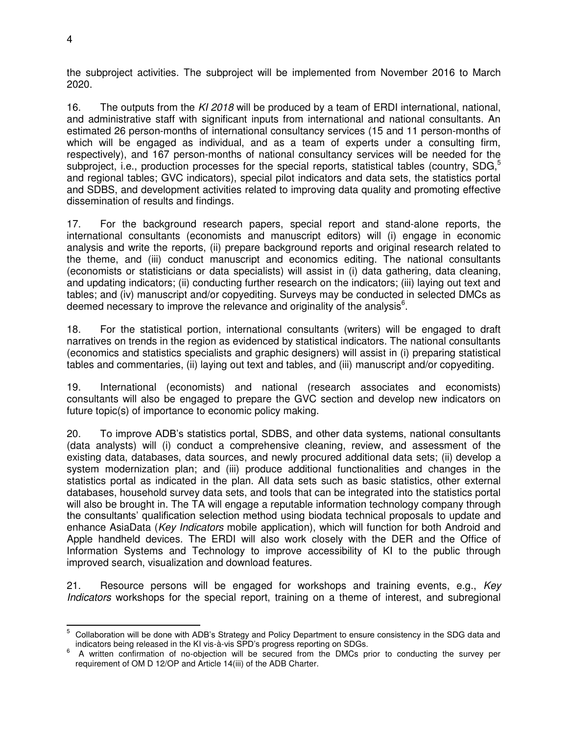the subproject activities. The subproject will be implemented from November 2016 to March 2020.

16. The outputs from the *KI 2018* will be produced by a team of ERDI international, national, and administrative staff with significant inputs from international and national consultants. An estimated 26 person-months of international consultancy services (15 and 11 person-months of which will be engaged as individual, and as a team of experts under a consulting firm, respectively), and 167 person-months of national consultancy services will be needed for the subproject, i.e., production processes for the special reports, statistical tables (country,  $SDG<sub>0</sub>$ <sup>5</sup> and regional tables; GVC indicators), special pilot indicators and data sets, the statistics portal and SDBS, and development activities related to improving data quality and promoting effective dissemination of results and findings.

17. For the background research papers, special report and stand-alone reports, the international consultants (economists and manuscript editors) will (i) engage in economic analysis and write the reports, (ii) prepare background reports and original research related to the theme, and (iii) conduct manuscript and economics editing. The national consultants (economists or statisticians or data specialists) will assist in (i) data gathering, data cleaning, and updating indicators; (ii) conducting further research on the indicators; (iii) laying out text and tables; and (iv) manuscript and/or copyediting. Surveys may be conducted in selected DMCs as deemed necessary to improve the relevance and originality of the analysis $<sup>6</sup>$ .</sup>

18. For the statistical portion, international consultants (writers) will be engaged to draft narratives on trends in the region as evidenced by statistical indicators. The national consultants (economics and statistics specialists and graphic designers) will assist in (i) preparing statistical tables and commentaries, (ii) laying out text and tables, and (iii) manuscript and/or copyediting.

19. International (economists) and national (research associates and economists) consultants will also be engaged to prepare the GVC section and develop new indicators on future topic(s) of importance to economic policy making.

20. To improve ADB's statistics portal, SDBS, and other data systems, national consultants (data analysts) will (i) conduct a comprehensive cleaning, review, and assessment of the existing data, databases, data sources, and newly procured additional data sets; (ii) develop a system modernization plan; and (iii) produce additional functionalities and changes in the statistics portal as indicated in the plan. All data sets such as basic statistics, other external databases, household survey data sets, and tools that can be integrated into the statistics portal will also be brought in. The TA will engage a reputable information technology company through the consultants' qualification selection method using biodata technical proposals to update and enhance AsiaData (*Key Indicators* mobile application), which will function for both Android and Apple handheld devices. The ERDI will also work closely with the DER and the Office of Information Systems and Technology to improve accessibility of KI to the public through improved search, visualization and download features.

21. Resource persons will be engaged for workshops and training events, e.g., *Key Indicators* workshops for the special report, training on a theme of interest, and subregional

 $\overline{5}$ <sup>5</sup> Collaboration will be done with ADB's Strategy and Policy Department to ensure consistency in the SDG data and indicators being released in the KI vis-à-vis SPD's progress reporting on SDGs.

<sup>6</sup> A written confirmation of no-objection will be secured from the DMCs prior to conducting the survey per requirement of OM D 12/OP and Article 14(iii) of the ADB Charter.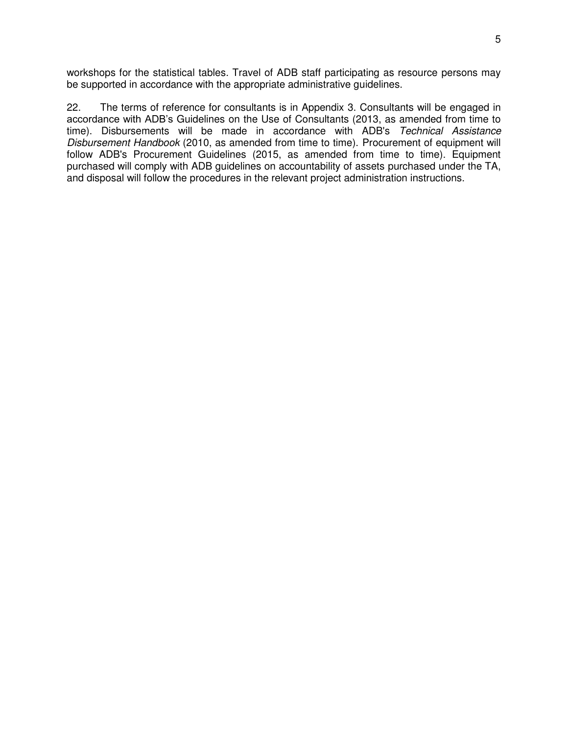workshops for the statistical tables. Travel of ADB staff participating as resource persons may be supported in accordance with the appropriate administrative guidelines.

22. The terms of reference for consultants is in Appendix 3. Consultants will be engaged in accordance with ADB's Guidelines on the Use of Consultants (2013, as amended from time to time). Disbursements will be made in accordance with ADB's *Technical Assistance Disbursement Handbook* (2010, as amended from time to time). Procurement of equipment will follow ADB's Procurement Guidelines (2015, as amended from time to time). Equipment purchased will comply with ADB guidelines on accountability of assets purchased under the TA, and disposal will follow the procedures in the relevant project administration instructions.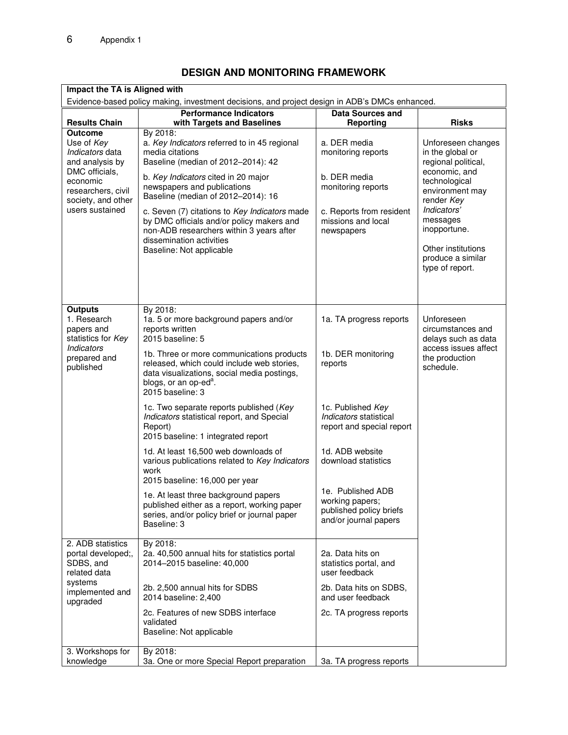# **DESIGN AND MONITORING FRAMEWORK**

| Impact the TA is Aligned with                                                                                                                                   |                                                                                                                                                                                                                                                                                                                                                                                                                                 |                                                                                                                                          |                                                                                                                                                                                                                                           |  |  |  |
|-----------------------------------------------------------------------------------------------------------------------------------------------------------------|---------------------------------------------------------------------------------------------------------------------------------------------------------------------------------------------------------------------------------------------------------------------------------------------------------------------------------------------------------------------------------------------------------------------------------|------------------------------------------------------------------------------------------------------------------------------------------|-------------------------------------------------------------------------------------------------------------------------------------------------------------------------------------------------------------------------------------------|--|--|--|
| Evidence-based policy making, investment decisions, and project design in ADB's DMCs enhanced.                                                                  |                                                                                                                                                                                                                                                                                                                                                                                                                                 |                                                                                                                                          |                                                                                                                                                                                                                                           |  |  |  |
| <b>Results Chain</b>                                                                                                                                            | <b>Performance Indicators</b><br>with Targets and Baselines                                                                                                                                                                                                                                                                                                                                                                     | <b>Data Sources and</b><br><b>Reporting</b>                                                                                              | <b>Risks</b>                                                                                                                                                                                                                              |  |  |  |
| <b>Outcome</b><br>Use of Key<br>Indicators data<br>and analysis by<br>DMC officials,<br>economic<br>researchers, civil<br>society, and other<br>users sustained | By 2018:<br>a. Key Indicators referred to in 45 regional<br>media citations<br>Baseline (median of 2012-2014): 42<br>b. Key Indicators cited in 20 major<br>newspapers and publications<br>Baseline (median of 2012-2014): 16<br>c. Seven (7) citations to Key Indicators made<br>by DMC officials and/or policy makers and<br>non-ADB researchers within 3 years after<br>dissemination activities<br>Baseline: Not applicable | a. DER media<br>monitoring reports<br>b. DER media<br>monitoring reports<br>c. Reports from resident<br>missions and local<br>newspapers | Unforeseen changes<br>in the global or<br>regional political,<br>economic, and<br>technological<br>environment may<br>render Key<br>Indicators'<br>messages<br>inopportune.<br>Other institutions<br>produce a similar<br>type of report. |  |  |  |
| <b>Outputs</b><br>1. Research<br>papers and<br>statistics for Key<br><b>Indicators</b><br>prepared and<br>published                                             | By 2018:<br>1a. 5 or more background papers and/or<br>reports written<br>2015 baseline: 5<br>1b. Three or more communications products<br>released, which could include web stories,<br>data visualizations, social media postings,<br>blogs, or an op-ed <sup>a</sup> .<br>2015 baseline: 3                                                                                                                                    | 1a. TA progress reports<br>1b. DER monitoring<br>reports                                                                                 | Unforeseen<br>circumstances and<br>delays such as data<br>access issues affect<br>the production<br>schedule.                                                                                                                             |  |  |  |
|                                                                                                                                                                 | 1c. Two separate reports published (Key<br>Indicators statistical report, and Special<br>Report)<br>2015 baseline: 1 integrated report                                                                                                                                                                                                                                                                                          | 1c. Published Key<br>Indicators statistical<br>report and special report                                                                 |                                                                                                                                                                                                                                           |  |  |  |
|                                                                                                                                                                 | 1d. At least 16,500 web downloads of<br>various publications related to Key Indicators<br>work<br>2015 baseline: 16,000 per year                                                                                                                                                                                                                                                                                                | 1d. ADB website<br>download statistics                                                                                                   |                                                                                                                                                                                                                                           |  |  |  |
|                                                                                                                                                                 | 1e. At least three background papers<br>published either as a report, working paper<br>series, and/or policy brief or journal paper<br>Baseline: 3                                                                                                                                                                                                                                                                              | 1e. Published ADB<br>working papers;<br>published policy briefs<br>and/or journal papers                                                 |                                                                                                                                                                                                                                           |  |  |  |
| 2. ADB statistics<br>portal developed;,<br>SDBS, and<br>related data<br>systems<br>implemented and<br>upgraded                                                  | By 2018:<br>2a. 40,500 annual hits for statistics portal<br>2014-2015 baseline: 40,000                                                                                                                                                                                                                                                                                                                                          | 2a. Data hits on<br>statistics portal, and<br>user feedback                                                                              |                                                                                                                                                                                                                                           |  |  |  |
|                                                                                                                                                                 | 2b. 2,500 annual hits for SDBS<br>2014 baseline: 2,400                                                                                                                                                                                                                                                                                                                                                                          | 2b. Data hits on SDBS,<br>and user feedback                                                                                              |                                                                                                                                                                                                                                           |  |  |  |
|                                                                                                                                                                 | 2c. Features of new SDBS interface<br>validated<br>Baseline: Not applicable                                                                                                                                                                                                                                                                                                                                                     | 2c. TA progress reports                                                                                                                  |                                                                                                                                                                                                                                           |  |  |  |
| 3. Workshops for<br>knowledge                                                                                                                                   | By 2018:<br>3a. One or more Special Report preparation                                                                                                                                                                                                                                                                                                                                                                          | 3a. TA progress reports                                                                                                                  |                                                                                                                                                                                                                                           |  |  |  |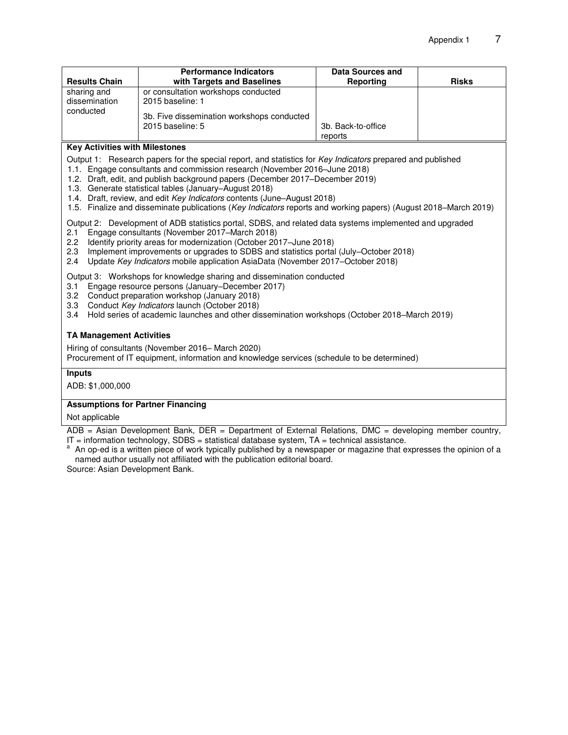| <b>Results Chain</b>                      | <b>Performance Indicators</b><br>with Targets and Baselines    | Data Sources and<br>Reporting | <b>Risks</b> |
|-------------------------------------------|----------------------------------------------------------------|-------------------------------|--------------|
| sharing and<br>dissemination<br>conducted | or consultation workshops conducted<br>2015 baseline: 1        |                               |              |
|                                           | 3b. Five dissemination workshops conducted<br>2015 baseline: 5 | 3b. Back-to-office<br>reports |              |

#### **Key Activities with Milestones**

Output 1: Research papers for the special report, and statistics for *Key Indicators* prepared and published

1.1. Engage consultants and commission research (November 2016–June 2018)

1.2. Draft, edit, and publish background papers (December 2017–December 2019)

- 1.3. Generate statistical tables (January–August 2018)
- 1.4. Draft, review, and edit *Key Indicators* contents (June–August 2018)
- 1.5. Finalize and disseminate publications (*Key Indicators* reports and working papers) (August 2018–March 2019)

Output 2: Development of ADB statistics portal, SDBS, and related data systems implemented and upgraded

- 2.1 Engage consultants (November 2017–March 2018)
- 2.2 Identify priority areas for modernization (October 2017–June 2018)
- 2.3 Implement improvements or upgrades to SDBS and statistics portal (July–October 2018)
- 2.4 Update *Key Indicators* mobile application AsiaData (November 2017–October 2018)

Output 3: Workshops for knowledge sharing and dissemination conducted

- 3.1 Engage resource persons (January–December 2017)
- 3.2 Conduct preparation workshop (January 2018)
- 3.3 Conduct *Key Indicators* launch (October 2018)
- 3.4 Hold series of academic launches and other dissemination workshops (October 2018–March 2019)

#### **TA Management Activities**

Hiring of consultants (November 2016– March 2020)

Procurement of IT equipment, information and knowledge services (schedule to be determined)

#### **Inputs**

ADB: \$1,000,000

#### **Assumptions for Partner Financing**

Not applicable

ADB = Asian Development Bank, DER = Department of External Relations, DMC = developing member country,  $IT = information technology, SDBS = statistical database system, TA = technical assistance.$ 

<sup>a</sup>An op-ed is a written piece of work typically published by a newspaper or magazine that expresses the opinion of a named author usually not affiliated with the publication editorial board.

Source: Asian Development Bank.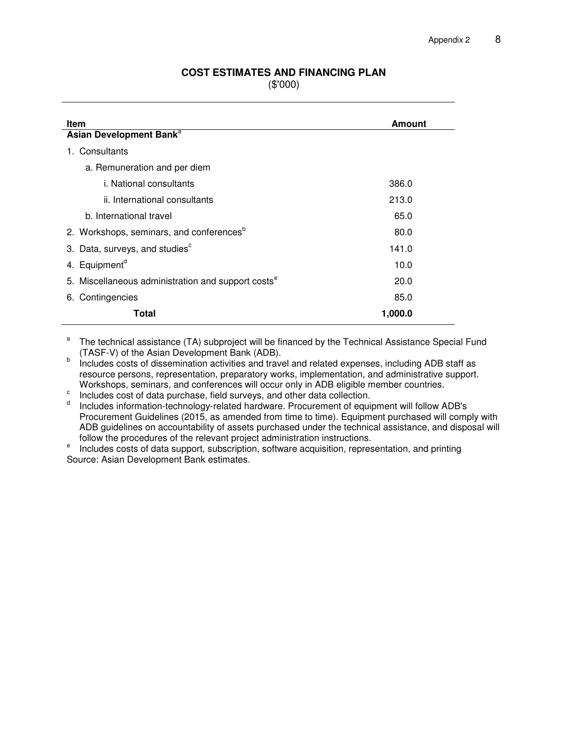# **COST ESTIMATES AND FINANCING PLAN**

(\$'000)

| <b>Item</b>                                                    | <b>Amount</b> |
|----------------------------------------------------------------|---------------|
| Asian Development Bank <sup>a</sup>                            |               |
| 1. Consultants                                                 |               |
| a. Remuneration and per diem                                   |               |
| i. National consultants                                        | 386.0         |
| ii. International consultants                                  | 213.0         |
| b. International travel                                        | 65.0          |
| 2. Workshops, seminars, and conferences <sup>b</sup>           | 80.0          |
| 3. Data, surveys, and studies <sup>c</sup>                     | 141.0         |
| 4. Equipment <sup>d</sup>                                      | 10.0          |
| 5. Miscellaneous administration and support costs <sup>e</sup> | 20.0          |
| 6. Contingencies                                               | 85.0          |
| Total                                                          | 1,000.0       |

a The technical assistance (TA) subproject will be financed by the Technical Assistance Special Fund (TASF-V) of the Asian Development Bank (ADB).

b Includes costs of dissemination activities and travel and related expenses, including ADB staff as resource persons, representation, preparatory works, implementation, and administrative support. Workshops, seminars, and conferences will occur only in ADB eligible member countries.

c Includes cost of data purchase, field surveys, and other data collection.

d Includes information-technology-related hardware. Procurement of equipment will follow ADB's Procurement Guidelines (2015, as amended from time to time). Equipment purchased will comply with ADB guidelines on accountability of assets purchased under the technical assistance, and disposal will follow the procedures of the relevant project administration instructions.

e Includes costs of data support, subscription, software acquisition, representation, and printing Source: Asian Development Bank estimates.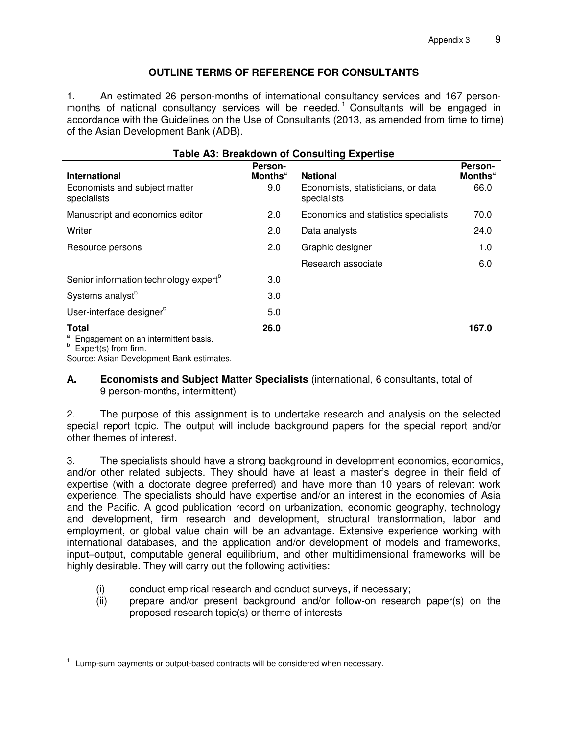# **OUTLINE TERMS OF REFERENCE FOR CONSULTANTS**

1. An estimated 26 person-months of international consultancy services and 167 personmonths of national consultancy services will be needed.<sup>1</sup> Consultants will be engaged in accordance with the Guidelines on the Use of Consultants (2013, as amended from time to time) of the Asian Development Bank (ADB).

| <b>Table A3: Breakdown of Consulting Expertise</b>            |                                       |                                                                      |                                       |  |  |  |
|---------------------------------------------------------------|---------------------------------------|----------------------------------------------------------------------|---------------------------------------|--|--|--|
|                                                               | Person-<br><b>Months</b> <sup>a</sup> |                                                                      | Person-<br><b>Months</b> <sup>a</sup> |  |  |  |
| International<br>Economists and subject matter<br>specialists | 9.0                                   | <b>National</b><br>Economists, statisticians, or data<br>specialists | 66.0                                  |  |  |  |
| Manuscript and economics editor                               | 2.0                                   | Economics and statistics specialists                                 | 70.0                                  |  |  |  |
| Writer                                                        | 2.0                                   | Data analysts                                                        | 24.0                                  |  |  |  |
| Resource persons                                              | 2.0                                   | Graphic designer                                                     | 1.0                                   |  |  |  |
|                                                               |                                       | Research associate                                                   | 6.0                                   |  |  |  |
| Senior information technology expert <sup>b</sup>             | 3.0                                   |                                                                      |                                       |  |  |  |
| Systems analyst <sup>b</sup>                                  | 3.0                                   |                                                                      |                                       |  |  |  |
| User-interface designer <sup>b</sup>                          | 5.0                                   |                                                                      |                                       |  |  |  |
| <b>Total</b>                                                  | 26.0                                  |                                                                      | 167.0                                 |  |  |  |

<sup>a</sup> Engagement on an intermittent basis.

b Expert(s) from firm.

Source: Asian Development Bank estimates.

## **A. Economists and Subject Matter Specialists** (international, 6 consultants, total of 9 person-months, intermittent)

2. The purpose of this assignment is to undertake research and analysis on the selected special report topic. The output will include background papers for the special report and/or other themes of interest.

3. The specialists should have a strong background in development economics, economics, and/or other related subjects. They should have at least a master's degree in their field of expertise (with a doctorate degree preferred) and have more than 10 years of relevant work experience. The specialists should have expertise and/or an interest in the economies of Asia and the Pacific. A good publication record on urbanization, economic geography, technology and development, firm research and development, structural transformation, labor and employment, or global value chain will be an advantage. Extensive experience working with international databases, and the application and/or development of models and frameworks, input–output, computable general equilibrium, and other multidimensional frameworks will be highly desirable. They will carry out the following activities:

- (i) conduct empirical research and conduct surveys, if necessary;
- (ii) prepare and/or present background and/or follow-on research paper(s) on the proposed research topic(s) or theme of interests

 $\overline{a}$ 1 Lump-sum payments or output-based contracts will be considered when necessary.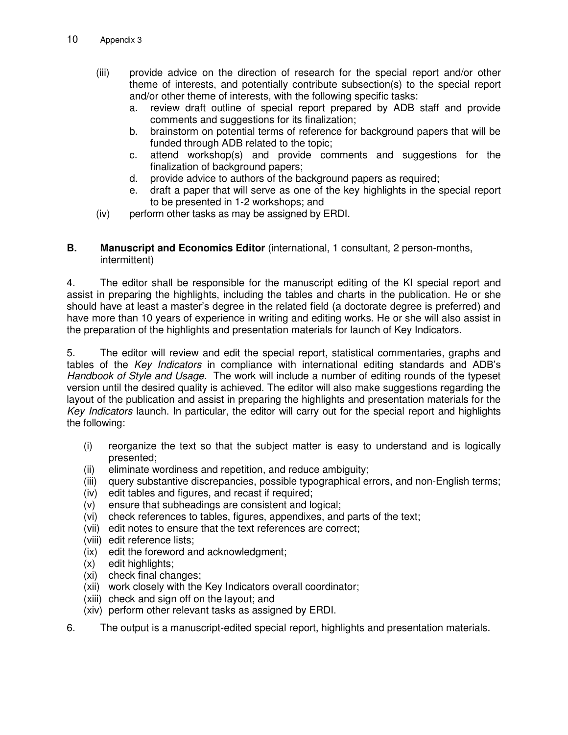- (iii) provide advice on the direction of research for the special report and/or other theme of interests, and potentially contribute subsection(s) to the special report and/or other theme of interests, with the following specific tasks:
	- a. review draft outline of special report prepared by ADB staff and provide comments and suggestions for its finalization;
	- b. brainstorm on potential terms of reference for background papers that will be funded through ADB related to the topic;
	- c. attend workshop(s) and provide comments and suggestions for the finalization of background papers;
	- d. provide advice to authors of the background papers as required;
	- e. draft a paper that will serve as one of the key highlights in the special report to be presented in 1-2 workshops; and
- (iv) perform other tasks as may be assigned by ERDI.

## **B. Manuscript and Economics Editor** (international, 1 consultant, 2 person-months, intermittent)

4. The editor shall be responsible for the manuscript editing of the KI special report and assist in preparing the highlights, including the tables and charts in the publication. He or she should have at least a master's degree in the related field (a doctorate degree is preferred) and have more than 10 years of experience in writing and editing works. He or she will also assist in the preparation of the highlights and presentation materials for launch of Key Indicators.

5. The editor will review and edit the special report, statistical commentaries, graphs and tables of the *Key Indicators* in compliance with international editing standards and ADB's *Handbook of Style and Usage*. The work will include a number of editing rounds of the typeset version until the desired quality is achieved. The editor will also make suggestions regarding the layout of the publication and assist in preparing the highlights and presentation materials for the *Key Indicators* launch. In particular, the editor will carry out for the special report and highlights the following:

- (i) reorganize the text so that the subject matter is easy to understand and is logically presented;
- (ii) eliminate wordiness and repetition, and reduce ambiguity;
- (iii) query substantive discrepancies, possible typographical errors, and non-English terms;
- (iv) edit tables and figures, and recast if required;
- (v) ensure that subheadings are consistent and logical;
- (vi) check references to tables, figures, appendixes, and parts of the text;
- (vii) edit notes to ensure that the text references are correct;
- (viii) edit reference lists;
- (ix) edit the foreword and acknowledgment;
- (x) edit highlights;
- (xi) check final changes;
- (xii) work closely with the Key Indicators overall coordinator;
- (xiii) check and sign off on the layout; and
- (xiv) perform other relevant tasks as assigned by ERDI.
- 6. The output is a manuscript-edited special report, highlights and presentation materials.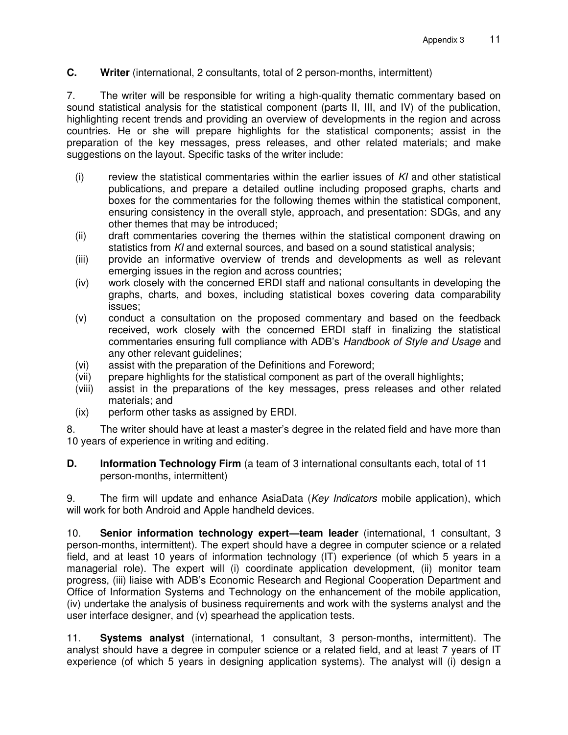## **C. Writer** (international, 2 consultants, total of 2 person-months, intermittent)

7. The writer will be responsible for writing a high-quality thematic commentary based on sound statistical analysis for the statistical component (parts II, III, and IV) of the publication, highlighting recent trends and providing an overview of developments in the region and across countries. He or she will prepare highlights for the statistical components; assist in the preparation of the key messages, press releases, and other related materials; and make suggestions on the layout. Specific tasks of the writer include:

- (i) review the statistical commentaries within the earlier issues of *KI* and other statistical publications, and prepare a detailed outline including proposed graphs, charts and boxes for the commentaries for the following themes within the statistical component, ensuring consistency in the overall style, approach, and presentation: SDGs, and any other themes that may be introduced;
- (ii) draft commentaries covering the themes within the statistical component drawing on statistics from *KI* and external sources, and based on a sound statistical analysis;
- (iii) provide an informative overview of trends and developments as well as relevant emerging issues in the region and across countries;
- (iv) work closely with the concerned ERDI staff and national consultants in developing the graphs, charts, and boxes, including statistical boxes covering data comparability issues;
- (v) conduct a consultation on the proposed commentary and based on the feedback received, work closely with the concerned ERDI staff in finalizing the statistical commentaries ensuring full compliance with ADB's *Handbook of Style and Usage* and any other relevant guidelines;
- (vi) assist with the preparation of the Definitions and Foreword;
- (vii) prepare highlights for the statistical component as part of the overall highlights;
- (viii) assist in the preparations of the key messages, press releases and other related materials; and
- (ix) perform other tasks as assigned by ERDI.

8. The writer should have at least a master's degree in the related field and have more than 10 years of experience in writing and editing*.*

**D. Information Technology Firm** (a team of 3 international consultants each, total of 11 person-months, intermittent)

9. The firm will update and enhance AsiaData (*Key Indicators* mobile application), which will work for both Android and Apple handheld devices.

10. **Senior information technology expert—team leader** (international, 1 consultant, 3 person-months, intermittent). The expert should have a degree in computer science or a related field, and at least 10 years of information technology (IT) experience (of which 5 years in a managerial role). The expert will (i) coordinate application development, (ii) monitor team progress, (iii) liaise with ADB's Economic Research and Regional Cooperation Department and Office of Information Systems and Technology on the enhancement of the mobile application, (iv) undertake the analysis of business requirements and work with the systems analyst and the user interface designer, and (v) spearhead the application tests.

11. **Systems analyst** (international, 1 consultant, 3 person-months, intermittent). The analyst should have a degree in computer science or a related field, and at least 7 years of IT experience (of which 5 years in designing application systems). The analyst will (i) design a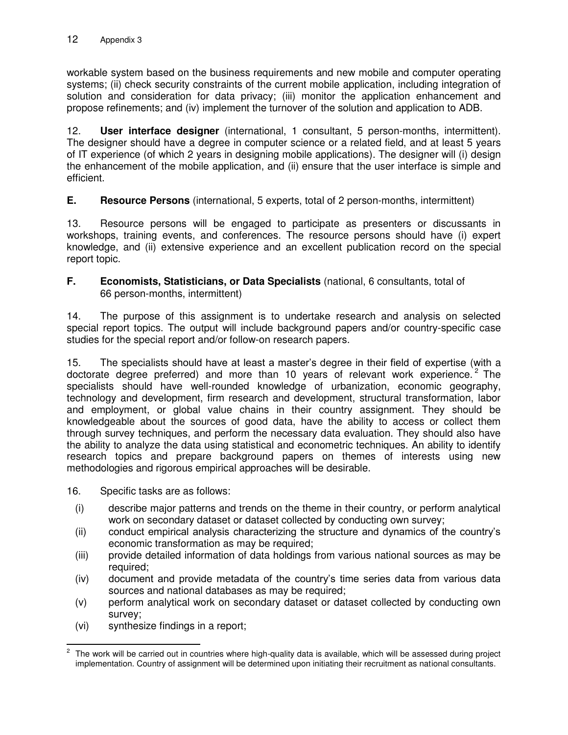workable system based on the business requirements and new mobile and computer operating systems; (ii) check security constraints of the current mobile application, including integration of solution and consideration for data privacy; (iii) monitor the application enhancement and propose refinements; and (iv) implement the turnover of the solution and application to ADB.

12. **User interface designer** (international, 1 consultant, 5 person-months, intermittent). The designer should have a degree in computer science or a related field, and at least 5 years of IT experience (of which 2 years in designing mobile applications). The designer will (i) design the enhancement of the mobile application, and (ii) ensure that the user interface is simple and efficient.

**E. Resource Persons** (international, 5 experts, total of 2 person-months, intermittent)

13. Resource persons will be engaged to participate as presenters or discussants in workshops, training events, and conferences. The resource persons should have (i) expert knowledge, and (ii) extensive experience and an excellent publication record on the special report topic.

**F. Economists, Statisticians, or Data Specialists** (national, 6 consultants, total of 66 person-months, intermittent)

14. The purpose of this assignment is to undertake research and analysis on selected special report topics. The output will include background papers and/or country-specific case studies for the special report and/or follow-on research papers.

15. The specialists should have at least a master's degree in their field of expertise (with a doctorate degree preferred) and more than 10 years of relevant work experience.<sup>2</sup> The specialists should have well-rounded knowledge of urbanization, economic geography, technology and development, firm research and development, structural transformation, labor and employment, or global value chains in their country assignment. They should be knowledgeable about the sources of good data, have the ability to access or collect them through survey techniques, and perform the necessary data evaluation. They should also have the ability to analyze the data using statistical and econometric techniques. An ability to identify research topics and prepare background papers on themes of interests using new methodologies and rigorous empirical approaches will be desirable.

16. Specific tasks are as follows:

- (i) describe major patterns and trends on the theme in their country, or perform analytical work on secondary dataset or dataset collected by conducting own survey;
- (ii) conduct empirical analysis characterizing the structure and dynamics of the country's economic transformation as may be required;
- (iii) provide detailed information of data holdings from various national sources as may be required;
- (iv) document and provide metadata of the country's time series data from various data sources and national databases as may be required;
- (v) perform analytical work on secondary dataset or dataset collected by conducting own survey;
- (vi) synthesize findings in a report;

j 2 The work will be carried out in countries where high-quality data is available, which will be assessed during project implementation. Country of assignment will be determined upon initiating their recruitment as national consultants.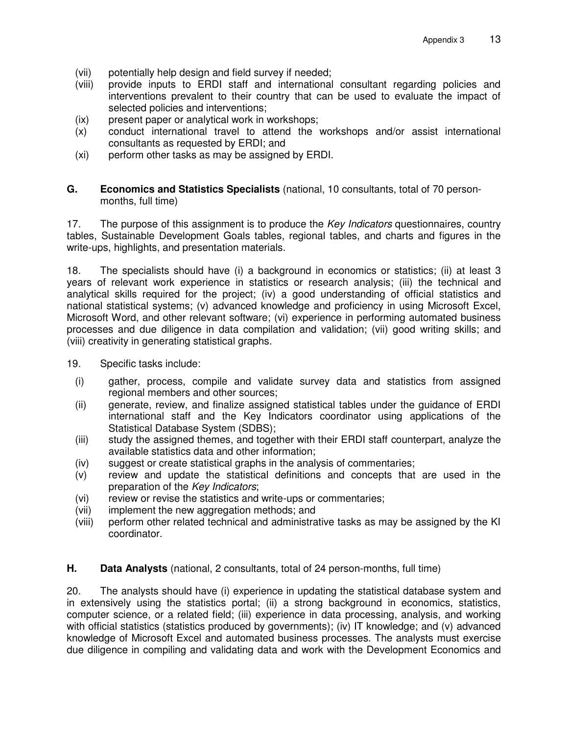- (vii) potentially help design and field survey if needed;
- (viii) provide inputs to ERDI staff and international consultant regarding policies and interventions prevalent to their country that can be used to evaluate the impact of selected policies and interventions;
- (ix) present paper or analytical work in workshops;
- (x) conduct international travel to attend the workshops and/or assist international consultants as requested by ERDI; and
- (xi) perform other tasks as may be assigned by ERDI.

## **G. Economics and Statistics Specialists** (national, 10 consultants, total of 70 personmonths, full time)

17. The purpose of this assignment is to produce the *Key Indicators* questionnaires, country tables, Sustainable Development Goals tables, regional tables, and charts and figures in the write-ups, highlights, and presentation materials.

18. The specialists should have (i) a background in economics or statistics; (ii) at least 3 years of relevant work experience in statistics or research analysis; (iii) the technical and analytical skills required for the project; (iv) a good understanding of official statistics and national statistical systems; (v) advanced knowledge and proficiency in using Microsoft Excel, Microsoft Word, and other relevant software; (vi) experience in performing automated business processes and due diligence in data compilation and validation; (vii) good writing skills; and (viii) creativity in generating statistical graphs.

19. Specific tasks include:

- (i) gather, process, compile and validate survey data and statistics from assigned regional members and other sources;
- (ii) generate, review, and finalize assigned statistical tables under the guidance of ERDI international staff and the Key Indicators coordinator using applications of the Statistical Database System (SDBS);
- (iii) study the assigned themes, and together with their ERDI staff counterpart, analyze the available statistics data and other information;
- (iv) suggest or create statistical graphs in the analysis of commentaries;
- (v) review and update the statistical definitions and concepts that are used in the preparation of the *Key Indicators*;
- (vi) review or revise the statistics and write-ups or commentaries;
- (vii) implement the new aggregation methods; and
- (viii) perform other related technical and administrative tasks as may be assigned by the KI coordinator.

**H. Data Analysts** (national, 2 consultants, total of 24 person-months, full time)

20. The analysts should have (i) experience in updating the statistical database system and in extensively using the statistics portal; (ii) a strong background in economics, statistics, computer science, or a related field; (iii) experience in data processing, analysis, and working with official statistics (statistics produced by governments); (iv) IT knowledge; and (v) advanced knowledge of Microsoft Excel and automated business processes. The analysts must exercise due diligence in compiling and validating data and work with the Development Economics and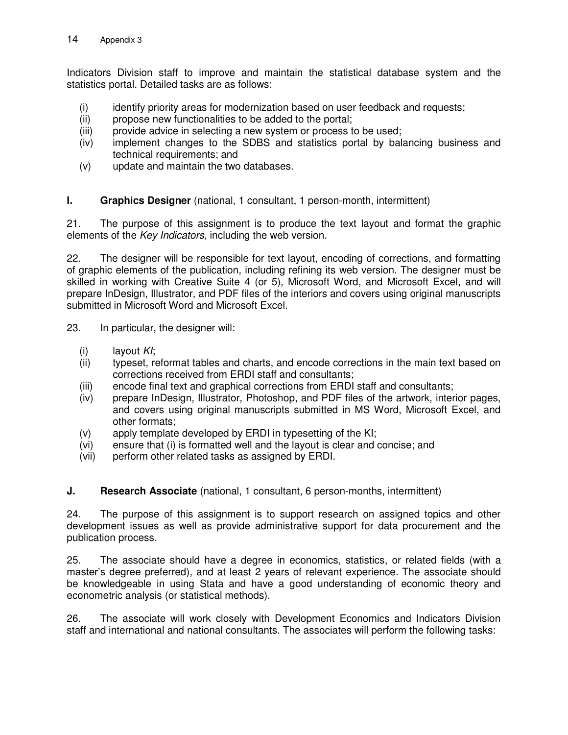Indicators Division staff to improve and maintain the statistical database system and the statistics portal. Detailed tasks are as follows:

- (i) identify priority areas for modernization based on user feedback and requests;
- (ii) propose new functionalities to be added to the portal;
- (iii) provide advice in selecting a new system or process to be used;
- (iv) implement changes to the SDBS and statistics portal by balancing business and technical requirements; and
- (v) update and maintain the two databases.

## **I.** Graphics Designer (national, 1 consultant, 1 person-month, intermittent)

21. The purpose of this assignment is to produce the text layout and format the graphic elements of the *Key Indicators*, including the web version.

22. The designer will be responsible for text layout, encoding of corrections, and formatting of graphic elements of the publication, including refining its web version. The designer must be skilled in working with Creative Suite 4 (or 5), Microsoft Word, and Microsoft Excel, and will prepare InDesign, Illustrator, and PDF files of the interiors and covers using original manuscripts submitted in Microsoft Word and Microsoft Excel.

23. In particular, the designer will:

- (i) layout *KI*;
- (ii) typeset, reformat tables and charts, and encode corrections in the main text based on corrections received from ERDI staff and consultants;
- (iii) encode final text and graphical corrections from ERDI staff and consultants;
- (iv) prepare InDesign, Illustrator, Photoshop, and PDF files of the artwork, interior pages, and covers using original manuscripts submitted in MS Word, Microsoft Excel, and other formats;
- (v) apply template developed by ERDI in typesetting of the KI;
- (vi) ensure that (i) is formatted well and the layout is clear and concise; and
- (vii) perform other related tasks as assigned by ERDI.

**J. Research Associate** (national, 1 consultant, 6 person-months, intermittent)

24. The purpose of this assignment is to support research on assigned topics and other development issues as well as provide administrative support for data procurement and the publication process.

25. The associate should have a degree in economics, statistics, or related fields (with a master's degree preferred), and at least 2 years of relevant experience. The associate should be knowledgeable in using Stata and have a good understanding of economic theory and econometric analysis (or statistical methods).

26. The associate will work closely with Development Economics and Indicators Division staff and international and national consultants. The associates will perform the following tasks: